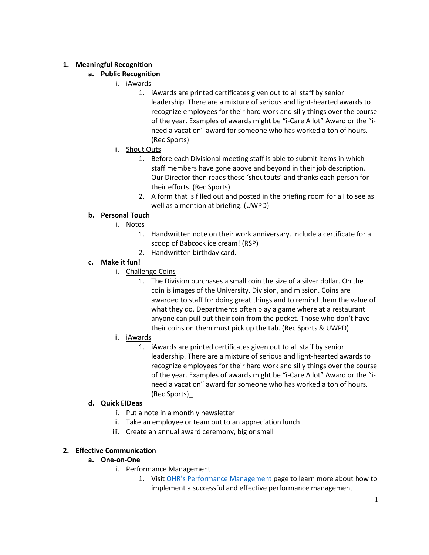## **1. Meaningful Recognition**

## **a. Public Recognition**

- i. iAwards
	- 1. iAwards are printed certificates given out to all staff by senior leadership. There are a mixture of serious and light-hearted awards to recognize employees for their hard work and silly things over the course of the year. Examples of awards might be "i-Care A lot" Award or the "ineed a vacation" award for someone who has worked a ton of hours. (Rec Sports)
- ii. Shout Outs
	- 1. Before each Divisional meeting staff is able to submit items in which staff members have gone above and beyond in their job description. Our Director then reads these 'shoutouts' and thanks each person for their efforts. (Rec Sports)
	- 2. A form that is filled out and posted in the briefing room for all to see as well as a mention at briefing. (UWPD)

### **b. Personal Touch**

- i. Notes
	- 1. Handwritten note on their work anniversary. Include a certificate for a scoop of Babcock ice cream! (RSP)
	- 2. Handwritten birthday card.

### **c. Make it fun!**

- i. Challenge Coins
	- 1. The Division purchases a small coin the size of a silver dollar. On the coin is images of the University, Division, and mission. Coins are awarded to staff for doing great things and to remind them the value of what they do. Departments often play a game where at a restaurant anyone can pull out their coin from the pocket. Those who don't have their coins on them must pick up the tab. (Rec Sports & UWPD)
- ii. iAwards
	- 1. iAwards are printed certificates given out to all staff by senior leadership. There are a mixture of serious and light-hearted awards to recognize employees for their hard work and silly things over the course of the year. Examples of awards might be "i-Care A lot" Award or the "ineed a vacation" award for someone who has worked a ton of hours. (Rec Sports)\_

## **d. Quick EIDeas**

- i. Put a note in a monthly newsletter
- ii. Take an employee or team out to an appreciation lunch
- iii. Create an annual award ceremony, big or small

## **2. Effective Communication**

#### **a. One-on-One**

- i. Performance Management
	- 1. Visit [OHR's Performance Management](https://www.ohrd.wisc.edu/home/Hide-A-Tab/HRDesign/PerformanceManagement/tabid/485/Default.aspx) page to learn more about how to implement a successful and effective performance management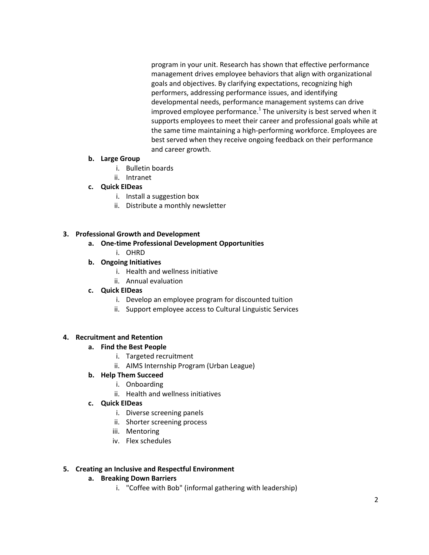program in your unit. Research has shown that effective performance management drives employee behaviors that align with organizational goals and objectives. By clarifying expectations, recognizing high performers, addressing performance issues, and identifying developmental needs, performance management systems can drive improved employee performance.<sup>1</sup> The university is best served when it supports employees to meet their career and professional goals while at the same time maintaining a high-performing workforce. Employees are best served when they receive ongoing feedback on their performance and career growth.

#### **b. Large Group**

- i. Bulletin boards
- ii. Intranet

# **c. Quick EIDeas**

- i. Install a suggestion box
- ii. Distribute a monthly newsletter

# **3. Professional Growth and Development**

# **a. One-time Professional Development Opportunities**

i. OHRD

# **b. Ongoing Initiatives**

- i. Health and wellness initiative
- ii. Annual evaluation

## **c. Quick EIDeas**

- i. Develop an employee program for discounted tuition
- ii. Support employee access to Cultural Linguistic Services

## **4. Recruitment and Retention**

## **a. Find the Best People**

- i. Targeted recruitment
- ii. AIMS Internship Program (Urban League)

# **b. Help Them Succeed**

- i. Onboarding
- ii. Health and wellness initiatives
- **c. Quick EIDeas**
	- i. Diverse screening panels
	- ii. Shorter screening process
	- iii. Mentoring
	- iv. Flex schedules

## **5. Creating an Inclusive and Respectful Environment**

## **a. Breaking Down Barriers**

i. "Coffee with Bob" (informal gathering with leadership)